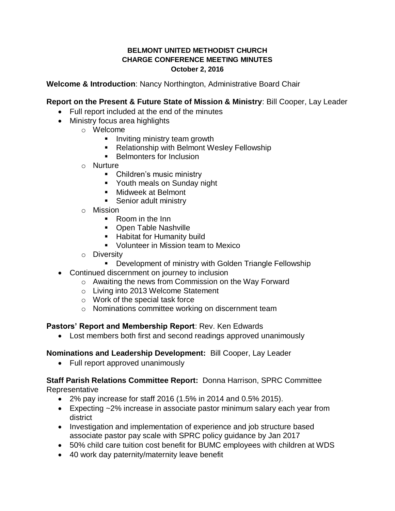## **BELMONT UNITED METHODIST CHURCH CHARGE CONFERENCE MEETING MINUTES October 2, 2016**

**Welcome & Introduction**: Nancy Northington, Administrative Board Chair

# **Report on the Present & Future State of Mission & Ministry**: Bill Cooper, Lay Leader

- Full report included at the end of the minutes
- Ministry focus area highlights
	- o Welcome
		- **Inviting ministry team growth**
		- Relationship with Belmont Wesley Fellowship
		- **Belmonters for Inclusion**
	- o Nurture
		- Children's music ministry
		- Youth meals on Sunday night
		- Midweek at Belmont
		- **Senior adult ministry**
	- o Mission
		- Room in the Inn
		- Open Table Nashville
		- Habitat for Humanity build
		- **Volunteer in Mission team to Mexico**
	- o Diversity
		- **Development of ministry with Golden Triangle Fellowship**
- Continued discernment on journey to inclusion
	- o Awaiting the news from Commission on the Way Forward
	- o Living into 2013 Welcome Statement
	- o Work of the special task force
	- o Nominations committee working on discernment team

## **Pastors' Report and Membership Report**: Rev. Ken Edwards

Lost members both first and second readings approved unanimously

# **Nominations and Leadership Development:** Bill Cooper, Lay Leader

• Full report approved unanimously

# **Staff Parish Relations Committee Report:** Donna Harrison, SPRC Committee **Representative**

- 2% pay increase for staff 2016 (1.5% in 2014 and 0.5% 2015).
- Expecting ~2% increase in associate pastor minimum salary each year from district
- Investigation and implementation of experience and job structure based associate pastor pay scale with SPRC policy guidance by Jan 2017
- 50% child care tuition cost benefit for BUMC employees with children at WDS
- 40 work day paternity/maternity leave benefit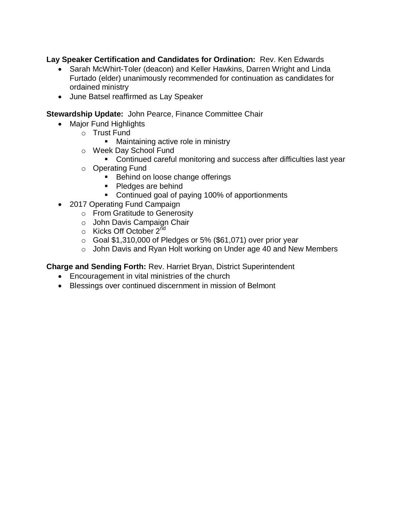**Lay Speaker Certification and Candidates for Ordination:** Rev. Ken Edwards

- Sarah McWhirt-Toler (deacon) and Keller Hawkins, Darren Wright and Linda Furtado (elder) unanimously recommended for continuation as candidates for ordained ministry
- June Batsel reaffirmed as Lay Speaker

**Stewardship Update:** John Pearce, Finance Committee Chair

- Major Fund Highlights
	- o Trust Fund
		- **Maintaining active role in ministry**
	- o Week Day School Fund
		- Continued careful monitoring and success after difficulties last year
	- o Operating Fund
		- **Behind on loose change offerings**
		- Pledges are behind
		- Continued goal of paying 100% of apportionments
- 2017 Operating Fund Campaign
	- o From Gratitude to Generosity
	- o John Davis Campaign Chair
	- $\circ$  Kicks Off October 2<sup>nd</sup>
	- $\circ$  Goal \$1,310,000 of Pledges or 5% (\$61,071) over prior year
	- o John Davis and Ryan Holt working on Under age 40 and New Members

**Charge and Sending Forth:** Rev. Harriet Bryan, District Superintendent

- Encouragement in vital ministries of the church
- Blessings over continued discernment in mission of Belmont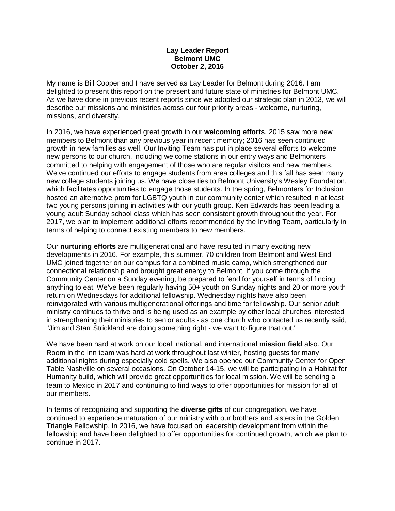#### **Lay Leader Report Belmont UMC October 2, 2016**

My name is Bill Cooper and I have served as Lay Leader for Belmont during 2016. I am delighted to present this report on the present and future state of ministries for Belmont UMC. As we have done in previous recent reports since we adopted our strategic plan in 2013, we will describe our missions and ministries across our four priority areas - welcome, nurturing, missions, and diversity.

In 2016, we have experienced great growth in our **welcoming efforts**. 2015 saw more new members to Belmont than any previous year in recent memory; 2016 has seen continued growth in new families as well. Our Inviting Team has put in place several efforts to welcome new persons to our church, including welcome stations in our entry ways and Belmonters committed to helping with engagement of those who are regular visitors and new members. We've continued our efforts to engage students from area colleges and this fall has seen many new college students joining us. We have close ties to Belmont University's Wesley Foundation, which facilitates opportunities to engage those students. In the spring, Belmonters for Inclusion hosted an alternative prom for LGBTQ youth in our community center which resulted in at least two young persons joining in activities with our youth group. Ken Edwards has been leading a young adult Sunday school class which has seen consistent growth throughout the year. For 2017, we plan to implement additional efforts recommended by the Inviting Team, particularly in terms of helping to connect existing members to new members.

Our **nurturing efforts** are multigenerational and have resulted in many exciting new developments in 2016. For example, this summer, 70 children from Belmont and West End UMC joined together on our campus for a combined music camp, which strengthened our connectional relationship and brought great energy to Belmont. If you come through the Community Center on a Sunday evening, be prepared to fend for yourself in terms of finding anything to eat. We've been regularly having 50+ youth on Sunday nights and 20 or more youth return on Wednesdays for additional fellowship. Wednesday nights have also been reinvigorated with various multigenerational offerings and time for fellowship. Our senior adult ministry continues to thrive and is being used as an example by other local churches interested in strengthening their ministries to senior adults - as one church who contacted us recently said, "Jim and Starr Strickland are doing something right - we want to figure that out."

We have been hard at work on our local, national, and international **mission field** also. Our Room in the Inn team was hard at work throughout last winter, hosting guests for many additional nights during especially cold spells. We also opened our Community Center for Open Table Nashville on several occasions. On October 14-15, we will be participating in a Habitat for Humanity build, which will provide great opportunities for local mission. We will be sending a team to Mexico in 2017 and continuing to find ways to offer opportunities for mission for all of our members.

In terms of recognizing and supporting the **diverse gifts** of our congregation, we have continued to experience maturation of our ministry with our brothers and sisters in the Golden Triangle Fellowship. In 2016, we have focused on leadership development from within the fellowship and have been delighted to offer opportunities for continued growth, which we plan to continue in 2017.